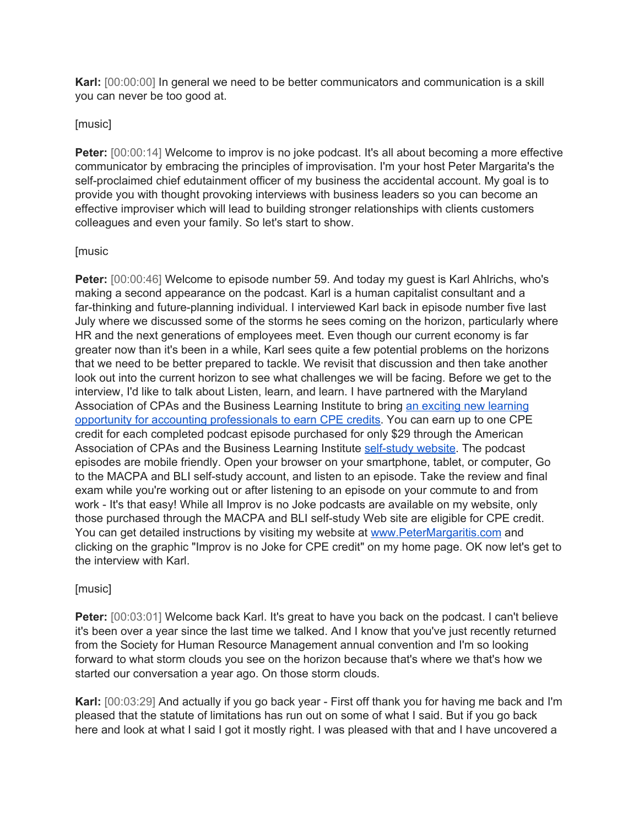**Karl:** [00:00:00] In general we need to be better communicators and communication is a skill you can never be too good at.

## [music]

**Peter:** [00:00:14] Welcome to improv is no joke podcast. It's all about becoming a more effective communicator by embracing the principles of improvisation. I'm your host Peter Margarita's the self-proclaimed chief edutainment officer of my business the accidental account. My goal is to provide you with thought provoking interviews with business leaders so you can become an effective improviser which will lead to building stronger relationships with clients customers colleagues and even your family. So let's start to show.

## [music

**Peter:** [00:00:46] Welcome to episode number 59. And today my guest is Karl Ahlrichs, who's making a second appearance on the podcast. Karl is a human capitalist consultant and a far-thinking and future-planning individual. I interviewed Karl back in episode number five last July where we discussed some of the storms he sees coming on the horizon, particularly where HR and the next generations of employees meet. Even though our current economy is far greater now than it's been in a while, Karl sees quite a few potential problems on the horizons that we need to be better prepared to tackle. We revisit that discussion and then take another look out into the current horizon to see what challenges we will be facing. Before we get to the interview, I'd like to talk about Listen, learn, and learn. I have partnered with the Maryland Association of CPAs and the Business Learning Institute to bring an exciting new [learning](http://petermargaritis.com/improv-is-no-joke-podcast-for-cpe/) opportunity for accounting [professionals](http://petermargaritis.com/improv-is-no-joke-podcast-for-cpe/) to earn CPE credits. You can earn up to one CPE credit for each completed podcast episode purchased for only \$29 through the American Association of CPAs and the Business Learning Institute [self-study](https://blionline.inquisiqr4.com/catalog/default.asp?id=25823) website. The podcast episodes are mobile friendly. Open your browser on your smartphone, tablet, or computer, Go to the MACPA and BLI self-study account, and listen to an episode. Take the review and final exam while you're working out or after listening to an episode on your commute to and from work - It's that easy! While all Improv is no Joke podcasts are available on my website, only those purchased through the MACPA and BLI self-study Web site are eligible for CPE credit. You can get detailed instructions by visiting my website at [www.PeterMargaritis.com](http://www.petermargaritis.com/) and clicking on the graphic "Improv is no Joke for CPE credit" on my home page. OK now let's get to the interview with Karl.

# [music]

Peter: [00:03:01] Welcome back Karl. It's great to have you back on the podcast. I can't believe it's been over a year since the last time we talked. And I know that you've just recently returned from the Society for Human Resource Management annual convention and I'm so looking forward to what storm clouds you see on the horizon because that's where we that's how we started our conversation a year ago. On those storm clouds.

**Karl:** [00:03:29] And actually if you go back year - First off thank you for having me back and I'm pleased that the statute of limitations has run out on some of what I said. But if you go back here and look at what I said I got it mostly right. I was pleased with that and I have uncovered a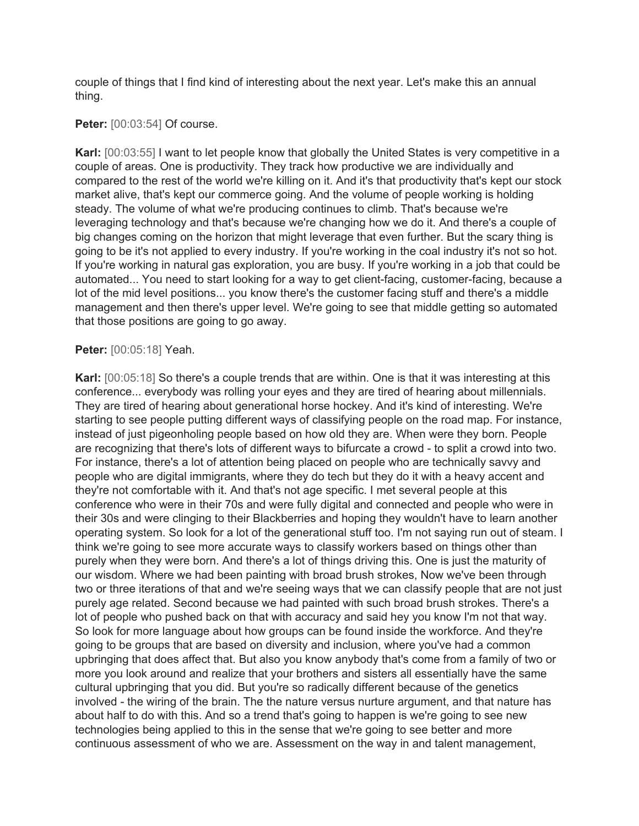couple of things that I find kind of interesting about the next year. Let's make this an annual thing.

### **Peter:** [00:03:54] Of course.

**Karl:** [00:03:55] I want to let people know that globally the United States is very competitive in a couple of areas. One is productivity. They track how productive we are individually and compared to the rest of the world we're killing on it. And it's that productivity that's kept our stock market alive, that's kept our commerce going. And the volume of people working is holding steady. The volume of what we're producing continues to climb. That's because we're leveraging technology and that's because we're changing how we do it. And there's a couple of big changes coming on the horizon that might leverage that even further. But the scary thing is going to be it's not applied to every industry. If you're working in the coal industry it's not so hot. If you're working in natural gas exploration, you are busy. If you're working in a job that could be automated... You need to start looking for a way to get client-facing, customer-facing, because a lot of the mid level positions... you know there's the customer facing stuff and there's a middle management and then there's upper level. We're going to see that middle getting so automated that those positions are going to go away.

#### **Peter:** [00:05:18] Yeah.

**Karl:** [00:05:18] So there's a couple trends that are within. One is that it was interesting at this conference... everybody was rolling your eyes and they are tired of hearing about millennials. They are tired of hearing about generational horse hockey. And it's kind of interesting. We're starting to see people putting different ways of classifying people on the road map. For instance, instead of just pigeonholing people based on how old they are. When were they born. People are recognizing that there's lots of different ways to bifurcate a crowd - to split a crowd into two. For instance, there's a lot of attention being placed on people who are technically savvy and people who are digital immigrants, where they do tech but they do it with a heavy accent and they're not comfortable with it. And that's not age specific. I met several people at this conference who were in their 70s and were fully digital and connected and people who were in their 30s and were clinging to their Blackberries and hoping they wouldn't have to learn another operating system. So look for a lot of the generational stuff too. I'm not saying run out of steam. I think we're going to see more accurate ways to classify workers based on things other than purely when they were born. And there's a lot of things driving this. One is just the maturity of our wisdom. Where we had been painting with broad brush strokes, Now we've been through two or three iterations of that and we're seeing ways that we can classify people that are not just purely age related. Second because we had painted with such broad brush strokes. There's a lot of people who pushed back on that with accuracy and said hey you know I'm not that way. So look for more language about how groups can be found inside the workforce. And they're going to be groups that are based on diversity and inclusion, where you've had a common upbringing that does affect that. But also you know anybody that's come from a family of two or more you look around and realize that your brothers and sisters all essentially have the same cultural upbringing that you did. But you're so radically different because of the genetics involved - the wiring of the brain. The the nature versus nurture argument, and that nature has about half to do with this. And so a trend that's going to happen is we're going to see new technologies being applied to this in the sense that we're going to see better and more continuous assessment of who we are. Assessment on the way in and talent management,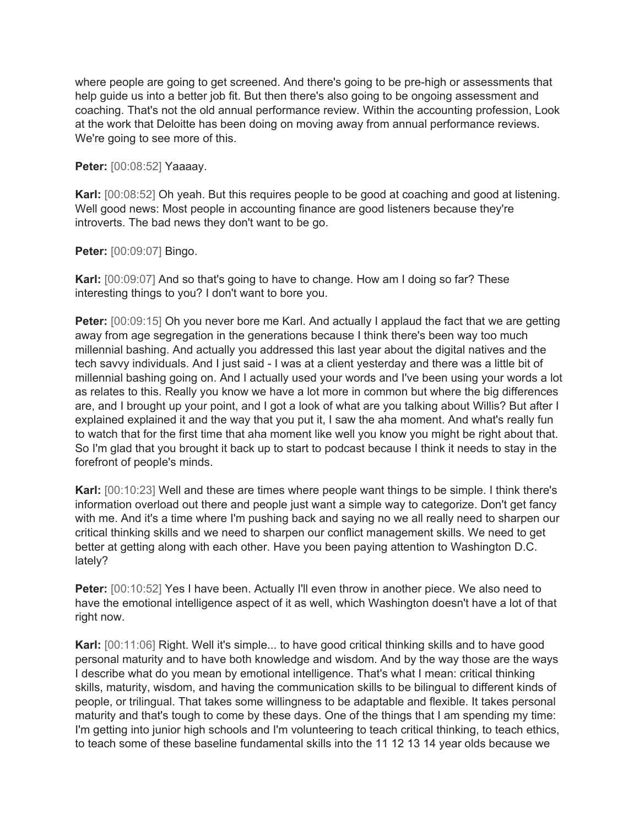where people are going to get screened. And there's going to be pre-high or assessments that help guide us into a better job fit. But then there's also going to be ongoing assessment and coaching. That's not the old annual performance review. Within the accounting profession, Look at the work that Deloitte has been doing on moving away from annual performance reviews. We're going to see more of this.

**Peter:** [00:08:52] Yaaaay.

**Karl:** [00:08:52] Oh yeah. But this requires people to be good at coaching and good at listening. Well good news: Most people in accounting finance are good listeners because they're introverts. The bad news they don't want to be go.

**Peter:** [00:09:07] Bingo.

**Karl:** [00:09:07] And so that's going to have to change. How am I doing so far? These interesting things to you? I don't want to bore you.

**Peter:** [00:09:15] Oh you never bore me Karl. And actually I applaud the fact that we are getting away from age segregation in the generations because I think there's been way too much millennial bashing. And actually you addressed this last year about the digital natives and the tech savvy individuals. And I just said - I was at a client yesterday and there was a little bit of millennial bashing going on. And I actually used your words and I've been using your words a lot as relates to this. Really you know we have a lot more in common but where the big differences are, and I brought up your point, and I got a look of what are you talking about Willis? But after I explained explained it and the way that you put it, I saw the aha moment. And what's really fun to watch that for the first time that aha moment like well you know you might be right about that. So I'm glad that you brought it back up to start to podcast because I think it needs to stay in the forefront of people's minds.

**Karl:** [00:10:23] Well and these are times where people want things to be simple. I think there's information overload out there and people just want a simple way to categorize. Don't get fancy with me. And it's a time where I'm pushing back and saying no we all really need to sharpen our critical thinking skills and we need to sharpen our conflict management skills. We need to get better at getting along with each other. Have you been paying attention to Washington D.C. lately?

**Peter:** [00:10:52] Yes I have been. Actually I'll even throw in another piece. We also need to have the emotional intelligence aspect of it as well, which Washington doesn't have a lot of that right now.

**Karl:** [00:11:06] Right. Well it's simple... to have good critical thinking skills and to have good personal maturity and to have both knowledge and wisdom. And by the way those are the ways I describe what do you mean by emotional intelligence. That's what I mean: critical thinking skills, maturity, wisdom, and having the communication skills to be bilingual to different kinds of people, or trilingual. That takes some willingness to be adaptable and flexible. It takes personal maturity and that's tough to come by these days. One of the things that I am spending my time: I'm getting into junior high schools and I'm volunteering to teach critical thinking, to teach ethics, to teach some of these baseline fundamental skills into the 11 12 13 14 year olds because we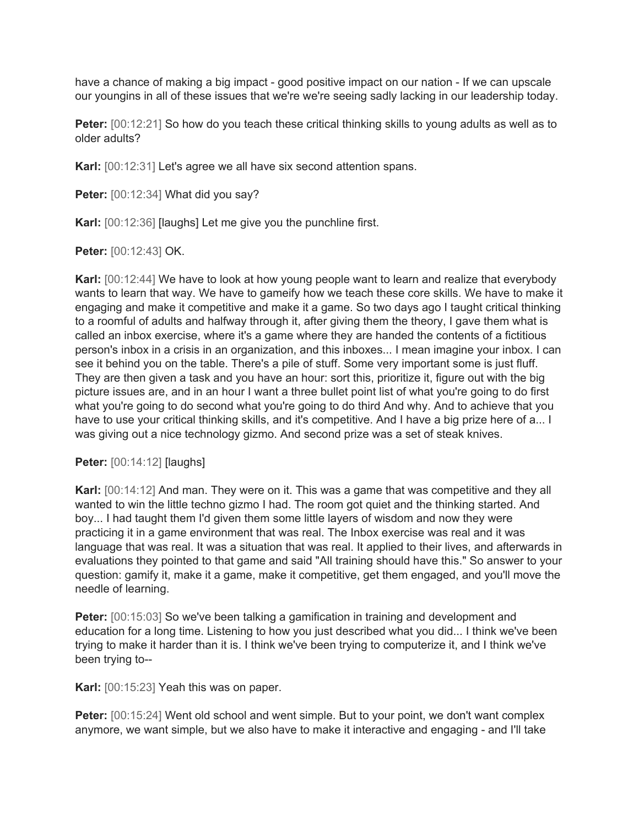have a chance of making a big impact - good positive impact on our nation - If we can upscale our youngins in all of these issues that we're we're seeing sadly lacking in our leadership today.

**Peter:** [00:12:21] So how do you teach these critical thinking skills to young adults as well as to older adults?

**Karl:** [00:12:31] Let's agree we all have six second attention spans.

Peter: [00:12:34] What did you say?

**Karl:** [00:12:36] [laughs] Let me give you the punchline first.

**Peter:** [00:12:43] OK.

**Karl:** [00:12:44] We have to look at how young people want to learn and realize that everybody wants to learn that way. We have to gameify how we teach these core skills. We have to make it engaging and make it competitive and make it a game. So two days ago I taught critical thinking to a roomful of adults and halfway through it, after giving them the theory, I gave them what is called an inbox exercise, where it's a game where they are handed the contents of a fictitious person's inbox in a crisis in an organization, and this inboxes... I mean imagine your inbox. I can see it behind you on the table. There's a pile of stuff. Some very important some is just fluff. They are then given a task and you have an hour: sort this, prioritize it, figure out with the big picture issues are, and in an hour I want a three bullet point list of what you're going to do first what you're going to do second what you're going to do third And why. And to achieve that you have to use your critical thinking skills, and it's competitive. And I have a big prize here of a... I was giving out a nice technology gizmo. And second prize was a set of steak knives.

**Peter:** [00:14:12] [laughs]

**Karl:** [00:14:12] And man. They were on it. This was a game that was competitive and they all wanted to win the little techno gizmo I had. The room got quiet and the thinking started. And boy... I had taught them I'd given them some little layers of wisdom and now they were practicing it in a game environment that was real. The Inbox exercise was real and it was language that was real. It was a situation that was real. It applied to their lives, and afterwards in evaluations they pointed to that game and said "All training should have this." So answer to your question: gamify it, make it a game, make it competitive, get them engaged, and you'll move the needle of learning.

**Peter:** [00:15:03] So we've been talking a gamification in training and development and education for a long time. Listening to how you just described what you did... I think we've been trying to make it harder than it is. I think we've been trying to computerize it, and I think we've been trying to--

**Karl:** [00:15:23] Yeah this was on paper.

**Peter:** [00:15:24] Went old school and went simple. But to your point, we don't want complex anymore, we want simple, but we also have to make it interactive and engaging - and I'll take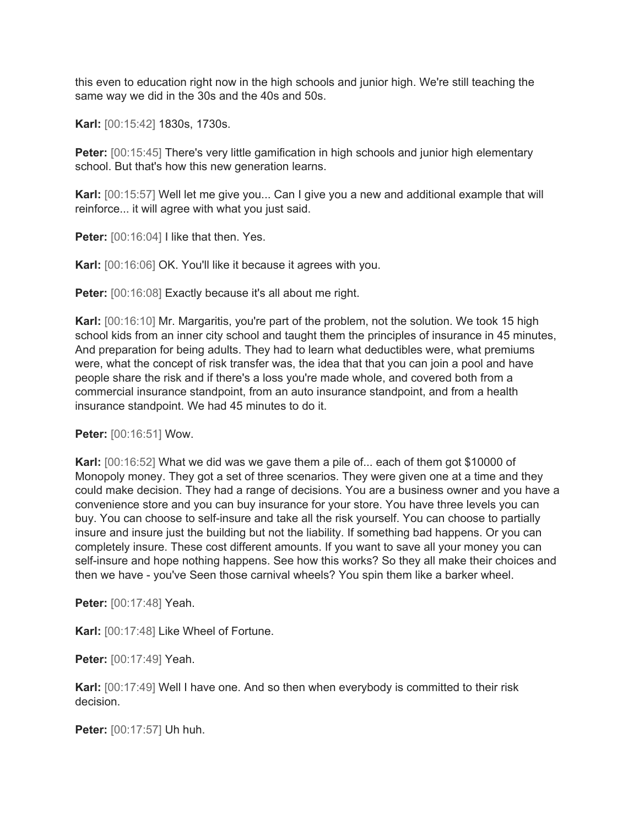this even to education right now in the high schools and junior high. We're still teaching the same way we did in the 30s and the 40s and 50s.

**Karl:** [00:15:42] 1830s, 1730s.

**Peter:** [00:15:45] There's very little gamification in high schools and junior high elementary school. But that's how this new generation learns.

**Karl:** [00:15:57] Well let me give you... Can I give you a new and additional example that will reinforce... it will agree with what you just said.

**Peter:** [00:16:04] I like that then. Yes.

**Karl:** [00:16:06] OK. You'll like it because it agrees with you.

**Peter:** [00:16:08] Exactly because it's all about me right.

**Karl:** [00:16:10] Mr. Margaritis, you're part of the problem, not the solution. We took 15 high school kids from an inner city school and taught them the principles of insurance in 45 minutes, And preparation for being adults. They had to learn what deductibles were, what premiums were, what the concept of risk transfer was, the idea that that you can join a pool and have people share the risk and if there's a loss you're made whole, and covered both from a commercial insurance standpoint, from an auto insurance standpoint, and from a health insurance standpoint. We had 45 minutes to do it.

**Peter:** [00:16:51] Wow.

**Karl:** [00:16:52] What we did was we gave them a pile of... each of them got \$10000 of Monopoly money. They got a set of three scenarios. They were given one at a time and they could make decision. They had a range of decisions. You are a business owner and you have a convenience store and you can buy insurance for your store. You have three levels you can buy. You can choose to self-insure and take all the risk yourself. You can choose to partially insure and insure just the building but not the liability. If something bad happens. Or you can completely insure. These cost different amounts. If you want to save all your money you can self-insure and hope nothing happens. See how this works? So they all make their choices and then we have - you've Seen those carnival wheels? You spin them like a barker wheel.

**Peter:** [00:17:48] Yeah.

**Karl:** [00:17:48] Like Wheel of Fortune.

**Peter:** [00:17:49] Yeah.

**Karl:** [00:17:49] Well I have one. And so then when everybody is committed to their risk decision.

**Peter:** [00:17:57] Uh huh.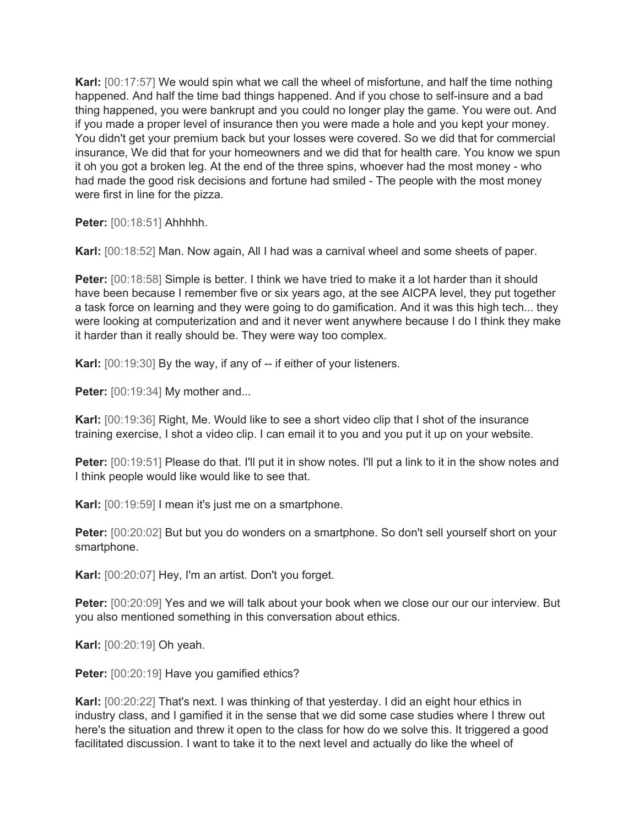**Karl:** [00:17:57] We would spin what we call the wheel of misfortune, and half the time nothing happened. And half the time bad things happened. And if you chose to self-insure and a bad thing happened, you were bankrupt and you could no longer play the game. You were out. And if you made a proper level of insurance then you were made a hole and you kept your money. You didn't get your premium back but your losses were covered. So we did that for commercial insurance, We did that for your homeowners and we did that for health care. You know we spun it oh you got a broken leg. At the end of the three spins, whoever had the most money - who had made the good risk decisions and fortune had smiled - The people with the most money were first in line for the pizza.

**Peter:** [00:18:51] Ahhhhh.

**Karl:** [00:18:52] Man. Now again, All I had was a carnival wheel and some sheets of paper.

**Peter:** [00:18:58] Simple is better. I think we have tried to make it a lot harder than it should have been because I remember five or six years ago, at the see AICPA level, they put together a task force on learning and they were going to do gamification. And it was this high tech... they were looking at computerization and and it never went anywhere because I do I think they make it harder than it really should be. They were way too complex.

**Karl:** [00:19:30] By the way, if any of -- if either of your listeners.

**Peter:** [00:19:34] My mother and...

**Karl:** [00:19:36] Right, Me. Would like to see a short video clip that I shot of the insurance training exercise, I shot a video clip. I can email it to you and you put it up on your website.

**Peter:** [00:19:51] Please do that. I'll put it in show notes. I'll put a link to it in the show notes and I think people would like would like to see that.

**Karl:** [00:19:59] I mean it's just me on a smartphone.

**Peter:** [00:20:02] But but you do wonders on a smartphone. So don't sell yourself short on your smartphone.

**Karl:** [00:20:07] Hey, I'm an artist. Don't you forget.

**Peter:** [00:20:09] Yes and we will talk about your book when we close our our our interview. But you also mentioned something in this conversation about ethics.

**Karl:** [00:20:19] Oh yeah.

**Peter:** [00:20:19] Have you gamified ethics?

**Karl:** [00:20:22] That's next. I was thinking of that yesterday. I did an eight hour ethics in industry class, and I gamified it in the sense that we did some case studies where I threw out here's the situation and threw it open to the class for how do we solve this. It triggered a good facilitated discussion. I want to take it to the next level and actually do like the wheel of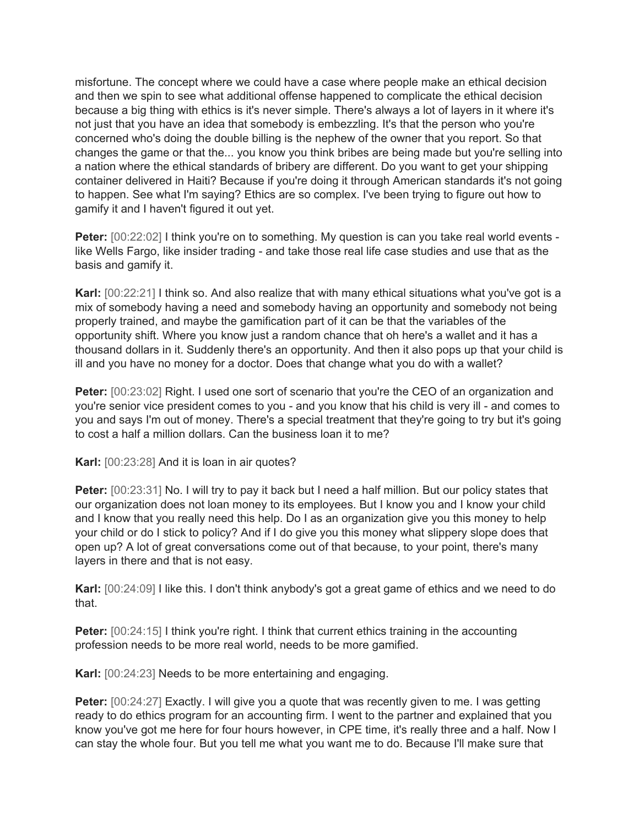misfortune. The concept where we could have a case where people make an ethical decision and then we spin to see what additional offense happened to complicate the ethical decision because a big thing with ethics is it's never simple. There's always a lot of layers in it where it's not just that you have an idea that somebody is embezzling. It's that the person who you're concerned who's doing the double billing is the nephew of the owner that you report. So that changes the game or that the... you know you think bribes are being made but you're selling into a nation where the ethical standards of bribery are different. Do you want to get your shipping container delivered in Haiti? Because if you're doing it through American standards it's not going to happen. See what I'm saying? Ethics are so complex. I've been trying to figure out how to gamify it and I haven't figured it out yet.

**Peter:** [00:22:02] I think you're on to something. My question is can you take real world events like Wells Fargo, like insider trading - and take those real life case studies and use that as the basis and gamify it.

**Karl:** [00:22:21] I think so. And also realize that with many ethical situations what you've got is a mix of somebody having a need and somebody having an opportunity and somebody not being properly trained, and maybe the gamification part of it can be that the variables of the opportunity shift. Where you know just a random chance that oh here's a wallet and it has a thousand dollars in it. Suddenly there's an opportunity. And then it also pops up that your child is ill and you have no money for a doctor. Does that change what you do with a wallet?

**Peter:** [00:23:02] Right. I used one sort of scenario that you're the CEO of an organization and you're senior vice president comes to you - and you know that his child is very ill - and comes to you and says I'm out of money. There's a special treatment that they're going to try but it's going to cost a half a million dollars. Can the business loan it to me?

**Karl:** [00:23:28] And it is loan in air quotes?

**Peter:** [00:23:31] No. I will try to pay it back but I need a half million. But our policy states that our organization does not loan money to its employees. But I know you and I know your child and I know that you really need this help. Do I as an organization give you this money to help your child or do I stick to policy? And if I do give you this money what slippery slope does that open up? A lot of great conversations come out of that because, to your point, there's many layers in there and that is not easy.

**Karl:** [00:24:09] I like this. I don't think anybody's got a great game of ethics and we need to do that.

**Peter:** [00:24:15] I think you're right. I think that current ethics training in the accounting profession needs to be more real world, needs to be more gamified.

**Karl:** [00:24:23] Needs to be more entertaining and engaging.

**Peter:** [00:24:27] Exactly. I will give you a quote that was recently given to me. I was getting ready to do ethics program for an accounting firm. I went to the partner and explained that you know you've got me here for four hours however, in CPE time, it's really three and a half. Now I can stay the whole four. But you tell me what you want me to do. Because I'll make sure that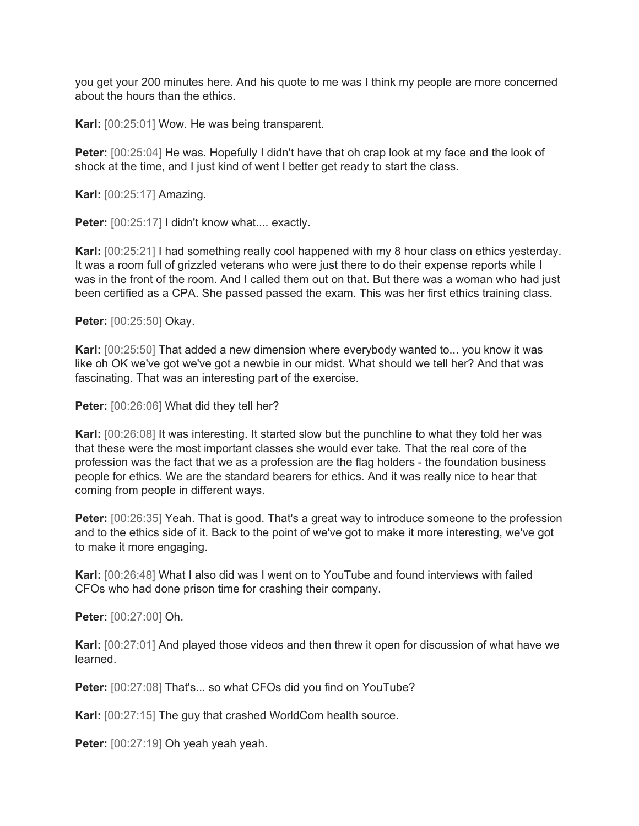you get your 200 minutes here. And his quote to me was I think my people are more concerned about the hours than the ethics.

**Karl:** [00:25:01] Wow. He was being transparent.

**Peter:** [00:25:04] He was. Hopefully I didn't have that oh crap look at my face and the look of shock at the time, and I just kind of went I better get ready to start the class.

**Karl:** [00:25:17] Amazing.

Peter: [00:25:17] I didn't know what.... exactly.

**Karl:** [00:25:21] I had something really cool happened with my 8 hour class on ethics yesterday. It was a room full of grizzled veterans who were just there to do their expense reports while I was in the front of the room. And I called them out on that. But there was a woman who had just been certified as a CPA. She passed passed the exam. This was her first ethics training class.

**Peter:** [00:25:50] Okay.

**Karl:** [00:25:50] That added a new dimension where everybody wanted to... you know it was like oh OK we've got we've got a newbie in our midst. What should we tell her? And that was fascinating. That was an interesting part of the exercise.

**Peter:** [00:26:06] What did they tell her?

**Karl:** [00:26:08] It was interesting. It started slow but the punchline to what they told her was that these were the most important classes she would ever take. That the real core of the profession was the fact that we as a profession are the flag holders - the foundation business people for ethics. We are the standard bearers for ethics. And it was really nice to hear that coming from people in different ways.

**Peter:** [00:26:35] Yeah. That is good. That's a great way to introduce someone to the profession and to the ethics side of it. Back to the point of we've got to make it more interesting, we've got to make it more engaging.

**Karl:** [00:26:48] What I also did was I went on to YouTube and found interviews with failed CFOs who had done prison time for crashing their company.

**Peter:** [00:27:00] Oh.

**Karl:** [00:27:01] And played those videos and then threw it open for discussion of what have we learned.

Peter: [00:27:08] That's... so what CFOs did you find on YouTube?

**Karl:** [00:27:15] The guy that crashed WorldCom health source.

**Peter:** [00:27:19] Oh yeah yeah yeah.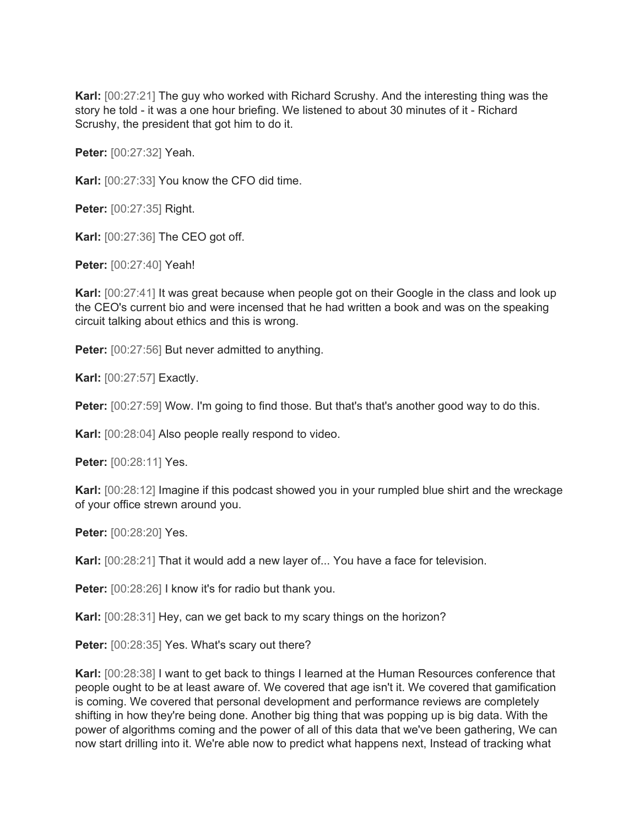**Karl:** [00:27:21] The guy who worked with Richard Scrushy. And the interesting thing was the story he told - it was a one hour briefing. We listened to about 30 minutes of it - Richard Scrushy, the president that got him to do it.

**Peter:** [00:27:32] Yeah.

**Karl:** [00:27:33] You know the CFO did time.

**Peter:** [00:27:35] Right.

**Karl:** [00:27:36] The CEO got off.

**Peter:** [00:27:40] Yeah!

**Karl:** [00:27:41] It was great because when people got on their Google in the class and look up the CEO's current bio and were incensed that he had written a book and was on the speaking circuit talking about ethics and this is wrong.

**Peter:** [00:27:56] But never admitted to anything.

**Karl:** [00:27:57] Exactly.

**Peter:** [00:27:59] Wow. I'm going to find those. But that's that's another good way to do this.

**Karl:** [00:28:04] Also people really respond to video.

**Peter:** [00:28:11] Yes.

**Karl:** [00:28:12] Imagine if this podcast showed you in your rumpled blue shirt and the wreckage of your office strewn around you.

**Peter:** [00:28:20] Yes.

**Karl:** [00:28:21] That it would add a new layer of... You have a face for television.

**Peter:**  $[00:28:26]$  I know it's for radio but thank you.

**Karl:** [00:28:31] Hey, can we get back to my scary things on the horizon?

Peter: [00:28:35] Yes. What's scary out there?

**Karl:** [00:28:38] I want to get back to things I learned at the Human Resources conference that people ought to be at least aware of. We covered that age isn't it. We covered that gamification is coming. We covered that personal development and performance reviews are completely shifting in how they're being done. Another big thing that was popping up is big data. With the power of algorithms coming and the power of all of this data that we've been gathering, We can now start drilling into it. We're able now to predict what happens next, Instead of tracking what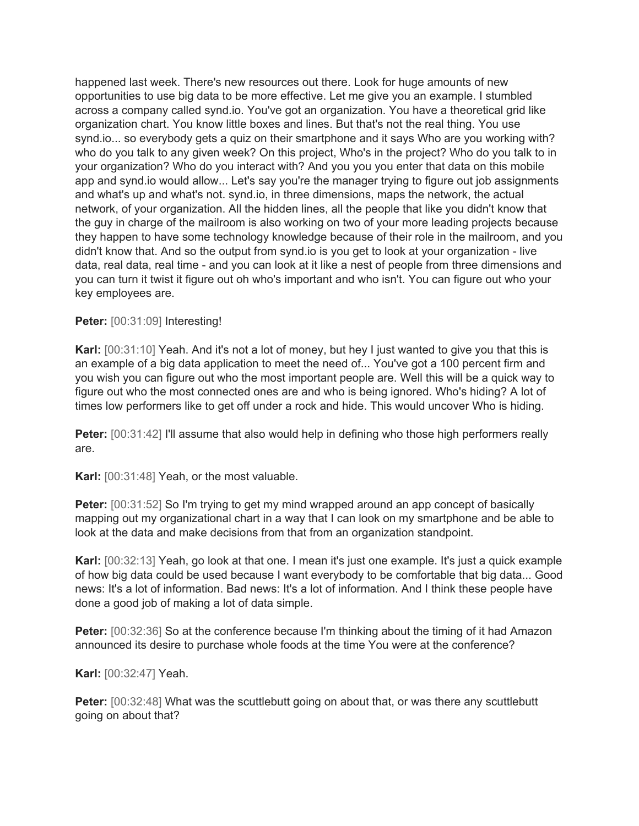happened last week. There's new resources out there. Look for huge amounts of new opportunities to use big data to be more effective. Let me give you an example. I stumbled across a company called synd.io. You've got an organization. You have a theoretical grid like organization chart. You know little boxes and lines. But that's not the real thing. You use synd.io... so everybody gets a quiz on their smartphone and it says Who are you working with? who do you talk to any given week? On this project, Who's in the project? Who do you talk to in your organization? Who do you interact with? And you you you enter that data on this mobile app and synd.io would allow... Let's say you're the manager trying to figure out job assignments and what's up and what's not. synd.io, in three dimensions, maps the network, the actual network, of your organization. All the hidden lines, all the people that like you didn't know that the guy in charge of the mailroom is also working on two of your more leading projects because they happen to have some technology knowledge because of their role in the mailroom, and you didn't know that. And so the output from synd.io is you get to look at your organization - live data, real data, real time - and you can look at it like a nest of people from three dimensions and you can turn it twist it figure out oh who's important and who isn't. You can figure out who your key employees are.

## **Peter:** [00:31:09] Interesting!

**Karl:** [00:31:10] Yeah. And it's not a lot of money, but hey I just wanted to give you that this is an example of a big data application to meet the need of... You've got a 100 percent firm and you wish you can figure out who the most important people are. Well this will be a quick way to figure out who the most connected ones are and who is being ignored. Who's hiding? A lot of times low performers like to get off under a rock and hide. This would uncover Who is hiding.

**Peter:** [00:31:42] I'll assume that also would help in defining who those high performers really are.

**Karl:** [00:31:48] Yeah, or the most valuable.

**Peter:** [00:31:52] So I'm trying to get my mind wrapped around an app concept of basically mapping out my organizational chart in a way that I can look on my smartphone and be able to look at the data and make decisions from that from an organization standpoint.

**Karl:** [00:32:13] Yeah, go look at that one. I mean it's just one example. It's just a quick example of how big data could be used because I want everybody to be comfortable that big data... Good news: It's a lot of information. Bad news: It's a lot of information. And I think these people have done a good job of making a lot of data simple.

**Peter:** [00:32:36] So at the conference because I'm thinking about the timing of it had Amazon announced its desire to purchase whole foods at the time You were at the conference?

**Karl:** [00:32:47] Yeah.

**Peter:** [00:32:48] What was the scuttlebutt going on about that, or was there any scuttlebutt going on about that?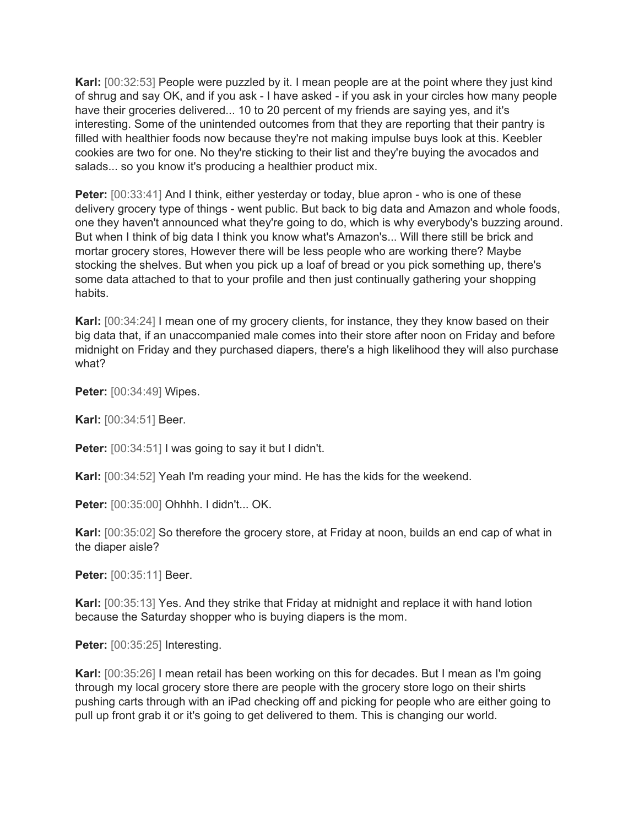**Karl:** [00:32:53] People were puzzled by it. I mean people are at the point where they just kind of shrug and say OK, and if you ask - I have asked - if you ask in your circles how many people have their groceries delivered... 10 to 20 percent of my friends are saying yes, and it's interesting. Some of the unintended outcomes from that they are reporting that their pantry is filled with healthier foods now because they're not making impulse buys look at this. Keebler cookies are two for one. No they're sticking to their list and they're buying the avocados and salads... so you know it's producing a healthier product mix.

**Peter:** [00:33:41] And I think, either yesterday or today, blue apron - who is one of these delivery grocery type of things - went public. But back to big data and Amazon and whole foods, one they haven't announced what they're going to do, which is why everybody's buzzing around. But when I think of big data I think you know what's Amazon's... Will there still be brick and mortar grocery stores, However there will be less people who are working there? Maybe stocking the shelves. But when you pick up a loaf of bread or you pick something up, there's some data attached to that to your profile and then just continually gathering your shopping habits.

**Karl:** [00:34:24] I mean one of my grocery clients, for instance, they they know based on their big data that, if an unaccompanied male comes into their store after noon on Friday and before midnight on Friday and they purchased diapers, there's a high likelihood they will also purchase what?

**Peter:** [00:34:49] Wipes.

**Karl:** [00:34:51] Beer.

**Peter:** [00:34:51] I was going to say it but I didn't.

**Karl:** [00:34:52] Yeah I'm reading your mind. He has the kids for the weekend.

**Peter:** [00:35:00] Ohhhh. I didn't... OK.

**Karl:** [00:35:02] So therefore the grocery store, at Friday at noon, builds an end cap of what in the diaper aisle?

**Peter:** [00:35:11] Beer.

**Karl:** [00:35:13] Yes. And they strike that Friday at midnight and replace it with hand lotion because the Saturday shopper who is buying diapers is the mom.

**Peter:** [00:35:25] Interesting.

**Karl:** [00:35:26] I mean retail has been working on this for decades. But I mean as I'm going through my local grocery store there are people with the grocery store logo on their shirts pushing carts through with an iPad checking off and picking for people who are either going to pull up front grab it or it's going to get delivered to them. This is changing our world.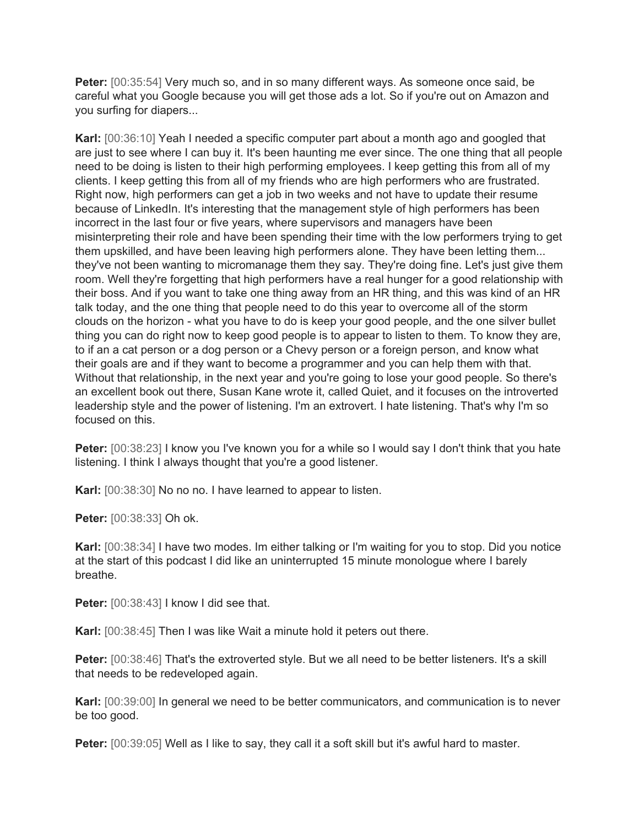**Peter:** [00:35:54] Very much so, and in so many different ways. As someone once said, be careful what you Google because you will get those ads a lot. So if you're out on Amazon and you surfing for diapers...

**Karl:** [00:36:10] Yeah I needed a specific computer part about a month ago and googled that are just to see where I can buy it. It's been haunting me ever since. The one thing that all people need to be doing is listen to their high performing employees. I keep getting this from all of my clients. I keep getting this from all of my friends who are high performers who are frustrated. Right now, high performers can get a job in two weeks and not have to update their resume because of LinkedIn. It's interesting that the management style of high performers has been incorrect in the last four or five years, where supervisors and managers have been misinterpreting their role and have been spending their time with the low performers trying to get them upskilled, and have been leaving high performers alone. They have been letting them... they've not been wanting to micromanage them they say. They're doing fine. Let's just give them room. Well they're forgetting that high performers have a real hunger for a good relationship with their boss. And if you want to take one thing away from an HR thing, and this was kind of an HR talk today, and the one thing that people need to do this year to overcome all of the storm clouds on the horizon - what you have to do is keep your good people, and the one silver bullet thing you can do right now to keep good people is to appear to listen to them. To know they are, to if an a cat person or a dog person or a Chevy person or a foreign person, and know what their goals are and if they want to become a programmer and you can help them with that. Without that relationship, in the next year and you're going to lose your good people. So there's an excellent book out there, Susan Kane wrote it, called Quiet, and it focuses on the introverted leadership style and the power of listening. I'm an extrovert. I hate listening. That's why I'm so focused on this.

**Peter:** [00:38:23] I know you I've known you for a while so I would say I don't think that you hate listening. I think I always thought that you're a good listener.

**Karl:** [00:38:30] No no no. I have learned to appear to listen.

**Peter:** [00:38:33] Oh ok.

**Karl:** [00:38:34] I have two modes. Im either talking or I'm waiting for you to stop. Did you notice at the start of this podcast I did like an uninterrupted 15 minute monologue where I barely breathe.

**Peter:** [00:38:43] I know I did see that.

**Karl:** [00:38:45] Then I was like Wait a minute hold it peters out there.

Peter: [00:38:46] That's the extroverted style. But we all need to be better listeners. It's a skill that needs to be redeveloped again.

**Karl:** [00:39:00] In general we need to be better communicators, and communication is to never be too good.

**Peter:** [00:39:05] Well as I like to say, they call it a soft skill but it's awful hard to master.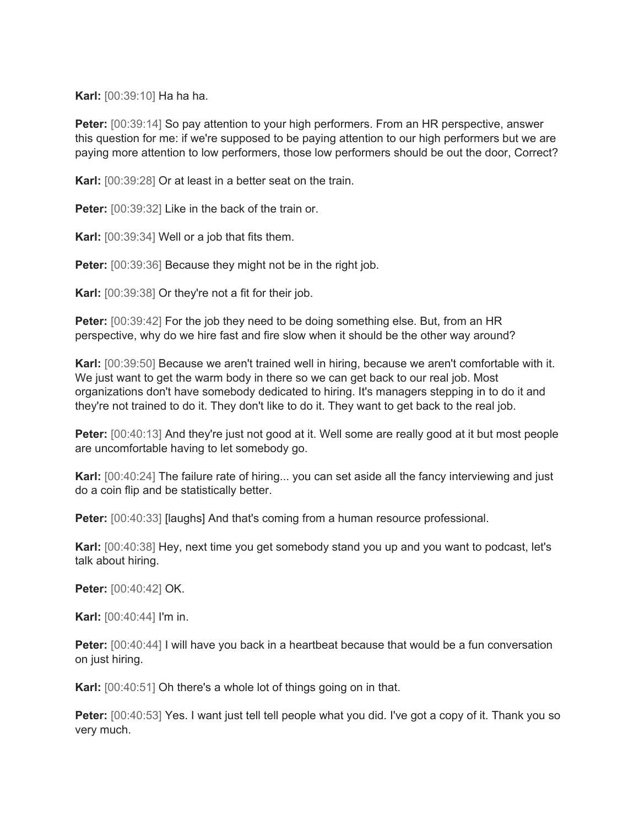**Karl:** [00:39:10] Ha ha ha.

**Peter:** [00:39:14] So pay attention to your high performers. From an HR perspective, answer this question for me: if we're supposed to be paying attention to our high performers but we are paying more attention to low performers, those low performers should be out the door, Correct?

**Karl:** [00:39:28] Or at least in a better seat on the train.

**Peter:** [00:39:32] Like in the back of the train or.

**Karl:** [00:39:34] Well or a job that fits them.

**Peter:** [00:39:36] Because they might not be in the right job.

**Karl:** [00:39:38] Or they're not a fit for their job.

**Peter:** [00:39:42] For the job they need to be doing something else. But, from an HR perspective, why do we hire fast and fire slow when it should be the other way around?

**Karl:** [00:39:50] Because we aren't trained well in hiring, because we aren't comfortable with it. We just want to get the warm body in there so we can get back to our real job. Most organizations don't have somebody dedicated to hiring. It's managers stepping in to do it and they're not trained to do it. They don't like to do it. They want to get back to the real job.

**Peter:** [00:40:13] And they're just not good at it. Well some are really good at it but most people are uncomfortable having to let somebody go.

**Karl:** [00:40:24] The failure rate of hiring... you can set aside all the fancy interviewing and just do a coin flip and be statistically better.

**Peter:** [00:40:33] [laughs] And that's coming from a human resource professional.

**Karl:** [00:40:38] Hey, next time you get somebody stand you up and you want to podcast, let's talk about hiring.

**Peter:** [00:40:42] OK.

**Karl:** [00:40:44] I'm in.

**Peter:** [00:40:44] I will have you back in a heartbeat because that would be a fun conversation on just hiring.

**Karl:** [00:40:51] Oh there's a whole lot of things going on in that.

**Peter:** [00:40:53] Yes. I want just tell tell people what you did. I've got a copy of it. Thank you so very much.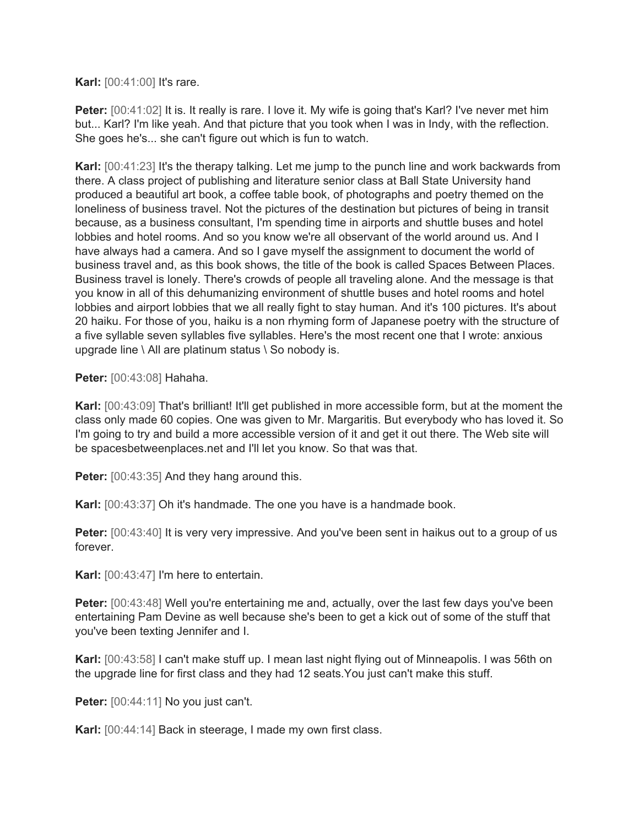**Karl:** [00:41:00] It's rare.

**Peter:** [00:41:02] It is. It really is rare. I love it. My wife is going that's Karl? I've never met him but... Karl? I'm like yeah. And that picture that you took when I was in Indy, with the reflection. She goes he's... she can't figure out which is fun to watch.

**Karl:** [00:41:23] It's the therapy talking. Let me jump to the punch line and work backwards from there. A class project of publishing and literature senior class at Ball State University hand produced a beautiful art book, a coffee table book, of photographs and poetry themed on the loneliness of business travel. Not the pictures of the destination but pictures of being in transit because, as a business consultant, I'm spending time in airports and shuttle buses and hotel lobbies and hotel rooms. And so you know we're all observant of the world around us. And I have always had a camera. And so I gave myself the assignment to document the world of business travel and, as this book shows, the title of the book is called Spaces Between Places. Business travel is lonely. There's crowds of people all traveling alone. And the message is that you know in all of this dehumanizing environment of shuttle buses and hotel rooms and hotel lobbies and airport lobbies that we all really fight to stay human. And it's 100 pictures. It's about 20 haiku. For those of you, haiku is a non rhyming form of Japanese poetry with the structure of a five syllable seven syllables five syllables. Here's the most recent one that I wrote: anxious upgrade line  $\setminus$  All are platinum status  $\setminus$  So nobody is.

**Peter:** [00:43:08] Hahaha.

**Karl:** [00:43:09] That's brilliant! It'll get published in more accessible form, but at the moment the class only made 60 copies. One was given to Mr. Margaritis. But everybody who has loved it. So I'm going to try and build a more accessible version of it and get it out there. The Web site will be spacesbetweenplaces.net and I'll let you know. So that was that.

**Peter:** [00:43:35] And they hang around this.

**Karl:** [00:43:37] Oh it's handmade. The one you have is a handmade book.

**Peter:** [00:43:40] It is very very impressive. And you've been sent in haikus out to a group of us forever.

**Karl:** [00:43:47] I'm here to entertain.

**Peter:** [00:43:48] Well you're entertaining me and, actually, over the last few days you've been entertaining Pam Devine as well because she's been to get a kick out of some of the stuff that you've been texting Jennifer and I.

**Karl:** [00:43:58] I can't make stuff up. I mean last night flying out of Minneapolis. I was 56th on the upgrade line for first class and they had 12 seats.You just can't make this stuff.

Peter: [00:44:11] No you just can't.

**Karl:** [00:44:14] Back in steerage, I made my own first class.